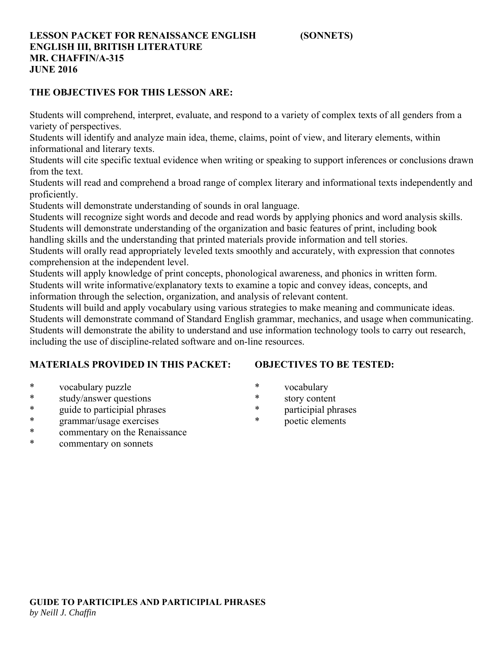# **LESSON PACKET FOR RENAISSANCE ENGLISH (SONNETS) ENGLISH III, BRITISH LITERATURE MR. CHAFFIN/A-315 JUNE 2016**

# **THE OBJECTIVES FOR THIS LESSON ARE:**

Students will comprehend, interpret, evaluate, and respond to a variety of complex texts of all genders from a variety of perspectives.

Students will identify and analyze main idea, theme, claims, point of view, and literary elements, within informational and literary texts.

Students will cite specific textual evidence when writing or speaking to support inferences or conclusions drawn from the text.

Students will read and comprehend a broad range of complex literary and informational texts independently and proficiently.

Students will demonstrate understanding of sounds in oral language.

Students will recognize sight words and decode and read words by applying phonics and word analysis skills. Students will demonstrate understanding of the organization and basic features of print, including book

handling skills and the understanding that printed materials provide information and tell stories.

Students will orally read appropriately leveled texts smoothly and accurately, with expression that connotes comprehension at the independent level.

Students will apply knowledge of print concepts, phonological awareness, and phonics in written form. Students will write informative/explanatory texts to examine a topic and convey ideas, concepts, and information through the selection, organization, and analysis of relevant content.

Students will build and apply vocabulary using various strategies to make meaning and communicate ideas. Students will demonstrate command of Standard English grammar, mechanics, and usage when communicating. Students will demonstrate the ability to understand and use information technology tools to carry out research, including the use of discipline-related software and on-line resources.

# **MATERIALS PROVIDED IN THIS PACKET:**

# **OBJECTIVES TO BE TESTED:**

- \* vocabulary puzzle
- \* study/answer questions
- \* guide to participial phrases
- \* grammar/usage exercises
- \* commentary on the Renaissance
- \* commentary on sonnets
- \* vocabulary
- \* story content
- \* participial phrases
- poetic elements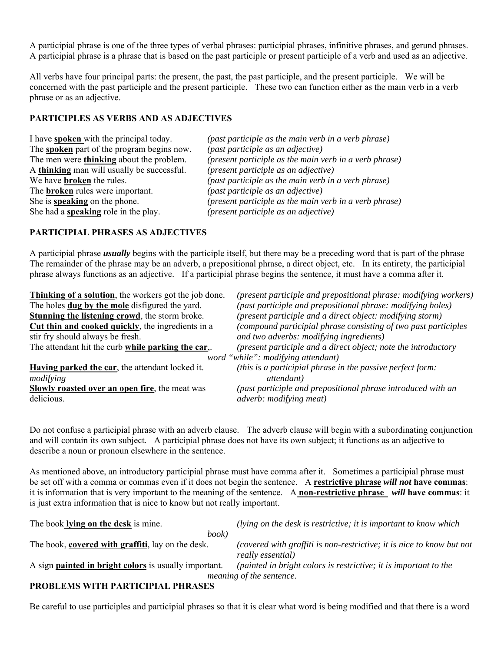A participial phrase is one of the three types of verbal phrases: participial phrases, infinitive phrases, and gerund phrases. A participial phrase is a phrase that is based on the past participle or present participle of a verb and used as an adjective.

All verbs have four principal parts: the present, the past, the past participle, and the present participle. We will be concerned with the past participle and the present participle. These two can function either as the main verb in a verb phrase or as an adjective.

# **PARTICIPLES AS VERBS AND AS ADJECTIVES**

| I have <b>spoken</b> with the principal today.    | (past) |
|---------------------------------------------------|--------|
| The <b>spoken</b> part of the program begins now. | (past) |
| The men were <b>thinking</b> about the problem.   | (pres  |
| A thinking man will usually be successful.        | (pres  |
| We have <b>broken</b> the rules.                  | (past) |
| The <b>broken</b> rules were important.           | (past) |
| She is <b>speaking</b> on the phone.              | (pres  |
| She had a <b>speaking</b> role in the play.       | (pres  |

participle as the main verb in a verb phrase) participle as an adjective) *The menticiple as the main verb in a verb phrase*) *thent* participle as an adjective) participle as the main verb in a verb phrase)  $participle$  as an adjective)  $\mathbf{S}$  *ent participle as the main verb in a verb phrase*)  $\mathbf{F}$  *ent participle as an adjective*)

#### **PARTICIPIAL PHRASES AS ADJECTIVES**

A participial phrase *usually* begins with the participle itself, but there may be a preceding word that is part of the phrase The remainder of the phrase may be an adverb, a prepositional phrase, a direct object, etc. In its entirety, the participial phrase always functions as an adjective. If a participial phrase begins the sentence, it must have a comma after it.

| Thinking of a solution, the workers got the job done. | (present participle and prepositional phrase: modifying workers) |
|-------------------------------------------------------|------------------------------------------------------------------|
| The holes <b>dug by the mole</b> disfigured the yard. | (past participle and prepositional phrase: modifying holes)      |
| Stunning the listening crowd, the storm broke.        | (present participle and a direct object: modifying storm)        |
| Cut thin and cooked quickly, the ingredients in a     | (compound participial phrase consisting of two past participles  |
| stir fry should always be fresh.                      | and two adverbs: modifying ingredients)                          |
| The attendant hit the curb while parking the car,.    | (present participle and a direct object; note the introductory   |
|                                                       | word "while": modifying attendant)                               |
| Having parked the car, the attendant locked it.       | (this is a participial phrase in the passive perfect form:       |
| modifying                                             | <i>attendant</i> )                                               |
| <b>Slowly roasted over an open fire, the meat was</b> | (past participle and prepositional phrase introduced with an     |
| delicious.                                            | <i>adverb: modifying meat)</i>                                   |

Do not confuse a participial phrase with an adverb clause. The adverb clause will begin with a subordinating conjunction and will contain its own subject. A participial phrase does not have its own subject; it functions as an adjective to describe a noun or pronoun elsewhere in the sentence.

As mentioned above, an introductory participial phrase must have comma after it. Sometimes a participial phrase must be set off with a comma or commas even if it does not begin the sentence. A **restrictive phrase** *will not* **have commas**: it is information that is very important to the meaning of the sentence. A **non-restrictive phrase** *will* **have commas**: it is just extra information that is nice to know but not really important.

| The book lying on the desk is mine.                          | (lying on the desk is restrictive; it is important to know which                           |  |  |
|--------------------------------------------------------------|--------------------------------------------------------------------------------------------|--|--|
| book)                                                        |                                                                                            |  |  |
| The book, covered with graffiti, lay on the desk.            | (covered with graffiti is non-restrictive; it is nice to know but not<br>really essential) |  |  |
| A sign <b>painted in bright colors</b> is usually important. | (painted in bright colors is restrictive; it is important to the                           |  |  |
| meaning of the sentence.                                     |                                                                                            |  |  |
| <b>PROBLEMS WITH PARTICIPIAL PHRASES</b>                     |                                                                                            |  |  |

# **PROBLEMS WITH PARTICIPIAL PHRASES**

Be careful to use participles and participial phrases so that it is clear what word is being modified and that there is a word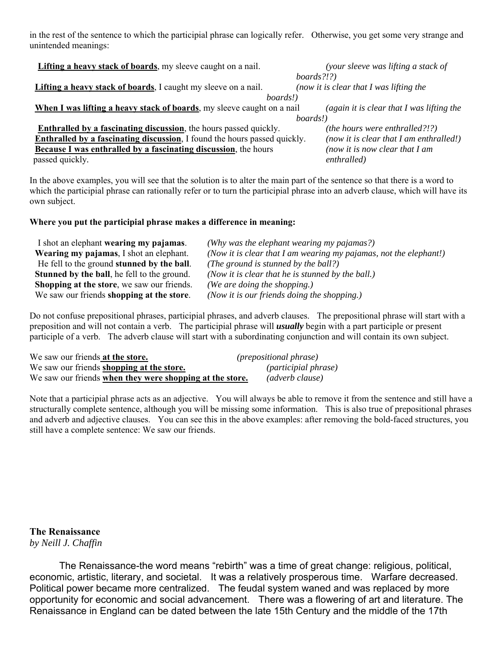in the rest of the sentence to which the participial phrase can logically refer. Otherwise, you get some very strange and unintended meanings:

| Lifting a heavy stack of boards, my sleeve caught on a nail.              | (your sleeve was lifting a stack of         |  |
|---------------------------------------------------------------------------|---------------------------------------------|--|
|                                                                           | $boards$ ?!?)                               |  |
| Lifting a heavy stack of boards, I caught my sleeve on a nail.            | (now it is clear that I was lifting the     |  |
| boards!)                                                                  |                                             |  |
| When I was lifting a heavy stack of boards, my sleeve caught on a nail    | (again it is clear that $I$ was lifting the |  |
|                                                                           | boards!)                                    |  |
| <b>Enthralled by a fascinating discussion</b> , the hours passed quickly. | ( <i>the hours were enthralled?!?</i> )     |  |
| Enthralled by a fascinating discussion, I found the hours passed quickly. | (now it is clear that I am enthralled!)     |  |
| Because I was enthralled by a fascinating discussion, the hours           | (now it is now clear that $I$ am            |  |
| passed quickly.                                                           | enthralled)                                 |  |

In the above examples, you will see that the solution is to alter the main part of the sentence so that there is a word to which the participial phrase can rationally refer or to turn the participial phrase into an adverb clause, which will have its own subject.

#### **Where you put the participial phrase makes a difference in meaning:**

| I shot an elephant wearing my pajamas.             | (Why was the elephant wearing my pajamas?)                        |
|----------------------------------------------------|-------------------------------------------------------------------|
| Wearing my pajamas, I shot an elephant.            | (Now it is clear that I am wearing my pajamas, not the elephant!) |
| He fell to the ground stunned by the ball.         | (The ground is stunned by the ball?)                              |
| <b>Stunned by the ball, he fell to the ground.</b> | (Now it is clear that he is stunned by the ball.)                 |
| Shopping at the store, we saw our friends.         | (We are doing the shopping.)                                      |
| We saw our friends shopping at the store.          | (Now it is our friends doing the shopping.)                       |

Do not confuse prepositional phrases, participial phrases, and adverb clauses. The prepositional phrase will start with a preposition and will not contain a verb. The participial phrase will *usually* begin with a part participle or present participle of a verb. The adverb clause will start with a subordinating conjunction and will contain its own subject.

| We saw our friends at the store.                         | <i>(prepositional phrase)</i> |
|----------------------------------------------------------|-------------------------------|
| We saw our friends shopping at the store.                | <i>(participial phrase)</i>   |
| We saw our friends when they were shopping at the store. | (adverb clause)               |

Note that a participial phrase acts as an adjective. You will always be able to remove it from the sentence and still have a structurally complete sentence, although you will be missing some information. This is also true of prepositional phrases and adverb and adjective clauses. You can see this in the above examples: after removing the bold-faced structures, you still have a complete sentence: We saw our friends.

**The Renaissance** *by Neill J. Chaffin*

The Renaissance-the word means "rebirth" was a time of great change: religious, political, economic, artistic, literary, and societal. It was a relatively prosperous time. Warfare decreased. Political power became more centralized. The feudal system waned and was replaced by more opportunity for economic and social advancement. There was a flowering of art and literature. The Renaissance in England can be dated between the late 15th Century and the middle of the 17th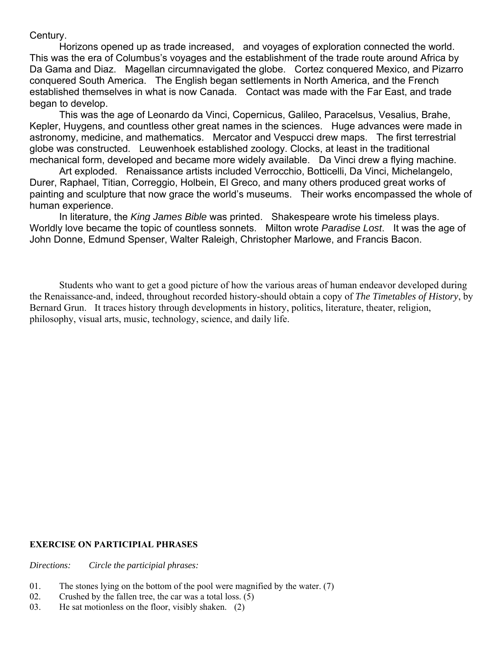Century.

 Horizons opened up as trade increased, and voyages of exploration connected the world. This was the era of Columbus's voyages and the establishment of the trade route around Africa by Da Gama and Diaz. Magellan circumnavigated the globe. Cortez conquered Mexico, and Pizarro conquered South America. The English began settlements in North America, and the French established themselves in what is now Canada. Contact was made with the Far East, and trade began to develop.

 This was the age of Leonardo da Vinci, Copernicus, Galileo, Paracelsus, Vesalius, Brahe, Kepler, Huygens, and countless other great names in the sciences. Huge advances were made in astronomy, medicine, and mathematics. Mercator and Vespucci drew maps. The first terrestrial globe was constructed. Leuwenhoek established zoology. Clocks, at least in the traditional mechanical form, developed and became more widely available. Da Vinci drew a flying machine.

 Art exploded. Renaissance artists included Verrocchio, Botticelli, Da Vinci, Michelangelo, Durer, Raphael, Titian, Correggio, Holbein, El Greco, and many others produced great works of painting and sculpture that now grace the world's museums. Their works encompassed the whole of human experience.

 In literature, the *King James Bible* was printed. Shakespeare wrote his timeless plays. Worldly love became the topic of countless sonnets. Milton wrote *Paradise Lost*. It was the age of John Donne, Edmund Spenser, Walter Raleigh, Christopher Marlowe, and Francis Bacon.

 Students who want to get a good picture of how the various areas of human endeavor developed during the Renaissance-and, indeed, throughout recorded history-should obtain a copy of *The Timetables of History*, by Bernard Grun. It traces history through developments in history, politics, literature, theater, religion, philosophy, visual arts, music, technology, science, and daily life.

# **EXERCISE ON PARTICIPIAL PHRASES**

*Directions: Circle the participial phrases:*

- 01. The stones lying on the bottom of the pool were magnified by the water.  $(7)$
- 02. Crushed by the fallen tree, the car was a total loss. (5)
- 03. He sat motionless on the floor, visibly shaken. (2)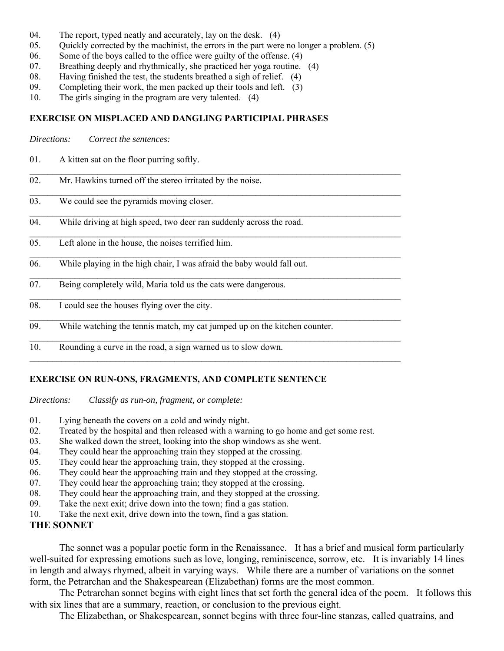- 04. The report, typed neatly and accurately, lay on the desk. (4)
- 05. Quickly corrected by the machinist, the errors in the part were no longer a problem.  $(5)$

 $\mathcal{L}_\mathcal{L} = \{ \mathcal{L}_\mathcal{L} = \{ \mathcal{L}_\mathcal{L} = \{ \mathcal{L}_\mathcal{L} = \{ \mathcal{L}_\mathcal{L} = \{ \mathcal{L}_\mathcal{L} = \{ \mathcal{L}_\mathcal{L} = \{ \mathcal{L}_\mathcal{L} = \{ \mathcal{L}_\mathcal{L} = \{ \mathcal{L}_\mathcal{L} = \{ \mathcal{L}_\mathcal{L} = \{ \mathcal{L}_\mathcal{L} = \{ \mathcal{L}_\mathcal{L} = \{ \mathcal{L}_\mathcal{L} = \{ \mathcal{L}_\mathcal{$ 

 $\mathcal{L}_\mathcal{L} = \{ \mathcal{L}_\mathcal{L} = \{ \mathcal{L}_\mathcal{L} = \{ \mathcal{L}_\mathcal{L} = \{ \mathcal{L}_\mathcal{L} = \{ \mathcal{L}_\mathcal{L} = \{ \mathcal{L}_\mathcal{L} = \{ \mathcal{L}_\mathcal{L} = \{ \mathcal{L}_\mathcal{L} = \{ \mathcal{L}_\mathcal{L} = \{ \mathcal{L}_\mathcal{L} = \{ \mathcal{L}_\mathcal{L} = \{ \mathcal{L}_\mathcal{L} = \{ \mathcal{L}_\mathcal{L} = \{ \mathcal{L}_\mathcal{$ 

 $\mathcal{L}_\mathcal{L} = \mathcal{L}_\mathcal{L} = \mathcal{L}_\mathcal{L} = \mathcal{L}_\mathcal{L} = \mathcal{L}_\mathcal{L} = \mathcal{L}_\mathcal{L} = \mathcal{L}_\mathcal{L} = \mathcal{L}_\mathcal{L} = \mathcal{L}_\mathcal{L} = \mathcal{L}_\mathcal{L} = \mathcal{L}_\mathcal{L} = \mathcal{L}_\mathcal{L} = \mathcal{L}_\mathcal{L} = \mathcal{L}_\mathcal{L} = \mathcal{L}_\mathcal{L} = \mathcal{L}_\mathcal{L} = \mathcal{L}_\mathcal{L}$ 

 $\mathcal{L}_\mathcal{L} = \{ \mathcal{L}_\mathcal{L} = \{ \mathcal{L}_\mathcal{L} = \{ \mathcal{L}_\mathcal{L} = \{ \mathcal{L}_\mathcal{L} = \{ \mathcal{L}_\mathcal{L} = \{ \mathcal{L}_\mathcal{L} = \{ \mathcal{L}_\mathcal{L} = \{ \mathcal{L}_\mathcal{L} = \{ \mathcal{L}_\mathcal{L} = \{ \mathcal{L}_\mathcal{L} = \{ \mathcal{L}_\mathcal{L} = \{ \mathcal{L}_\mathcal{L} = \{ \mathcal{L}_\mathcal{L} = \{ \mathcal{L}_\mathcal{$ 

 $\mathcal{L}_\mathcal{L} = \mathcal{L}_\mathcal{L} = \mathcal{L}_\mathcal{L} = \mathcal{L}_\mathcal{L} = \mathcal{L}_\mathcal{L} = \mathcal{L}_\mathcal{L} = \mathcal{L}_\mathcal{L} = \mathcal{L}_\mathcal{L} = \mathcal{L}_\mathcal{L} = \mathcal{L}_\mathcal{L} = \mathcal{L}_\mathcal{L} = \mathcal{L}_\mathcal{L} = \mathcal{L}_\mathcal{L} = \mathcal{L}_\mathcal{L} = \mathcal{L}_\mathcal{L} = \mathcal{L}_\mathcal{L} = \mathcal{L}_\mathcal{L}$ 

 $\mathcal{L}_\mathcal{L} = \{ \mathcal{L}_\mathcal{L} = \{ \mathcal{L}_\mathcal{L} = \{ \mathcal{L}_\mathcal{L} = \{ \mathcal{L}_\mathcal{L} = \{ \mathcal{L}_\mathcal{L} = \{ \mathcal{L}_\mathcal{L} = \{ \mathcal{L}_\mathcal{L} = \{ \mathcal{L}_\mathcal{L} = \{ \mathcal{L}_\mathcal{L} = \{ \mathcal{L}_\mathcal{L} = \{ \mathcal{L}_\mathcal{L} = \{ \mathcal{L}_\mathcal{L} = \{ \mathcal{L}_\mathcal{L} = \{ \mathcal{L}_\mathcal{$ 

 $\mathcal{L}_\mathcal{L} = \{ \mathcal{L}_\mathcal{L} = \{ \mathcal{L}_\mathcal{L} = \{ \mathcal{L}_\mathcal{L} = \{ \mathcal{L}_\mathcal{L} = \{ \mathcal{L}_\mathcal{L} = \{ \mathcal{L}_\mathcal{L} = \{ \mathcal{L}_\mathcal{L} = \{ \mathcal{L}_\mathcal{L} = \{ \mathcal{L}_\mathcal{L} = \{ \mathcal{L}_\mathcal{L} = \{ \mathcal{L}_\mathcal{L} = \{ \mathcal{L}_\mathcal{L} = \{ \mathcal{L}_\mathcal{L} = \{ \mathcal{L}_\mathcal{$ 

 $\mathcal{L}_\mathcal{L} = \{ \mathcal{L}_\mathcal{L} = \{ \mathcal{L}_\mathcal{L} = \{ \mathcal{L}_\mathcal{L} = \{ \mathcal{L}_\mathcal{L} = \{ \mathcal{L}_\mathcal{L} = \{ \mathcal{L}_\mathcal{L} = \{ \mathcal{L}_\mathcal{L} = \{ \mathcal{L}_\mathcal{L} = \{ \mathcal{L}_\mathcal{L} = \{ \mathcal{L}_\mathcal{L} = \{ \mathcal{L}_\mathcal{L} = \{ \mathcal{L}_\mathcal{L} = \{ \mathcal{L}_\mathcal{L} = \{ \mathcal{L}_\mathcal{$ 

 $\mathcal{L}_\mathcal{L} = \{ \mathcal{L}_\mathcal{L} = \{ \mathcal{L}_\mathcal{L} = \{ \mathcal{L}_\mathcal{L} = \{ \mathcal{L}_\mathcal{L} = \{ \mathcal{L}_\mathcal{L} = \{ \mathcal{L}_\mathcal{L} = \{ \mathcal{L}_\mathcal{L} = \{ \mathcal{L}_\mathcal{L} = \{ \mathcal{L}_\mathcal{L} = \{ \mathcal{L}_\mathcal{L} = \{ \mathcal{L}_\mathcal{L} = \{ \mathcal{L}_\mathcal{L} = \{ \mathcal{L}_\mathcal{L} = \{ \mathcal{L}_\mathcal{$ 

- 06. Some of the boys called to the office were guilty of the offense. (4)
- 07. Breathing deeply and rhythmically, she practiced her yoga routine. (4)
- 08. Having finished the test, the students breathed a sigh of relief. (4)
- 09. Completing their work, the men packed up their tools and left. (3)
- 10. The girls singing in the program are very talented. (4)

#### **EXERCISE ON MISPLACED AND DANGLING PARTICIPIAL PHRASES**

| Directions: | Correct the sentences: |  |
|-------------|------------------------|--|
|-------------|------------------------|--|

- 01. A kitten sat on the floor purring softly.
- 02. Mr. Hawkins turned off the stereo irritated by the noise.
- 03. We could see the pyramids moving closer.
- 04. While driving at high speed, two deer ran suddenly across the road.
- 05. Left alone in the house, the noises terrified him.
- 06. While playing in the high chair, I was afraid the baby would fall out.
- 07. Being completely wild, Maria told us the cats were dangerous.
- 08. I could see the houses flying over the city.
- 09. While watching the tennis match, my cat jumped up on the kitchen counter.
- 10. Rounding a curve in the road, a sign warned us to slow down.

# **EXERCISE ON RUN-ONS, FRAGMENTS, AND COMPLETE SENTENCE**

*Directions: Classify as run-on, fragment, or complete:*

- 01. Lying beneath the covers on a cold and windy night.
- 02. Treated by the hospital and then released with a warning to go home and get some rest.
- 03. She walked down the street, looking into the shop windows as she went.
- 04. They could hear the approaching train they stopped at the crossing.
- 05. They could hear the approaching train, they stopped at the crossing.
- 06. They could hear the approaching train and they stopped at the crossing.
- 07. They could hear the approaching train; they stopped at the crossing.
- 08. They could hear the approaching train, and they stopped at the crossing.
- 09. Take the next exit; drive down into the town; find a gas station.
- 10. Take the next exit, drive down into the town, find a gas station.

# **THE SONNET**

 The sonnet was a popular poetic form in the Renaissance. It has a brief and musical form particularly well-suited for expressing emotions such as love, longing, reminiscence, sorrow, etc. It is invariably 14 lines in length and always rhymed, albeit in varying ways. While there are a number of variations on the sonnet form, the Petrarchan and the Shakespearean (Elizabethan) forms are the most common.

 The Petrarchan sonnet begins with eight lines that set forth the general idea of the poem. It follows this with six lines that are a summary, reaction, or conclusion to the previous eight.

The Elizabethan, or Shakespearean, sonnet begins with three four-line stanzas, called quatrains, and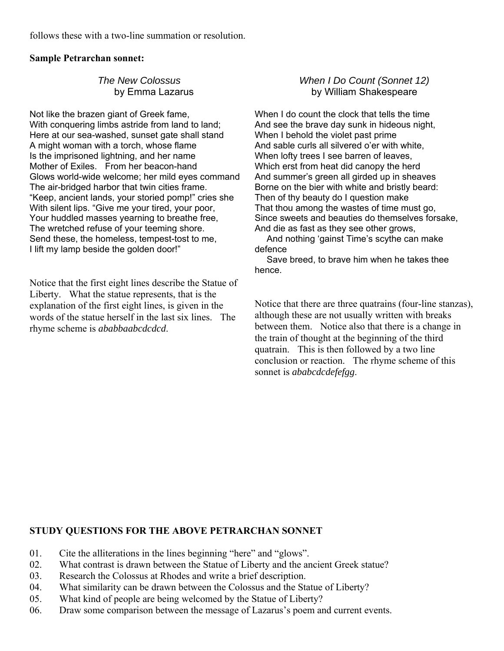follows these with a two-line summation or resolution.

# **Sample Petrarchan sonnet:**

# *The New Colossus* by Emma Lazarus

Not like the brazen giant of Greek fame, With conquering limbs astride from land to land; Here at our sea-washed, sunset gate shall stand A might woman with a torch, whose flame Is the imprisoned lightning, and her name Mother of Exiles. From her beacon-hand Glows world-wide welcome; her mild eyes command The air-bridged harbor that twin cities frame. "Keep, ancient lands, your storied pomp!" cries she With silent lips. "Give me your tired, your poor, Your huddled masses yearning to breathe free, The wretched refuse of your teeming shore. Send these, the homeless, tempest-tost to me, I lift my lamp beside the golden door!"

Notice that the first eight lines describe the Statue of Liberty. What the statue represents, that is the explanation of the first eight lines, is given in the words of the statue herself in the last six lines. The rhyme scheme is *ababbaabcdcdcd*.

# *When I Do Count (Sonnet 12)* by William Shakespeare

When I do count the clock that tells the time And see the brave day sunk in hideous night, When I behold the violet past prime And sable curls all silvered o'er with white, When lofty trees I see barren of leaves. Which erst from heat did canopy the herd And summer's green all girded up in sheaves Borne on the bier with white and bristly beard: Then of thy beauty do I question make That thou among the wastes of time must go, Since sweets and beauties do themselves forsake, And die as fast as they see other grows,

 And nothing 'gainst Time's scythe can make defence

 Save breed, to brave him when he takes thee hence.

Notice that there are three quatrains (four-line stanzas), although these are not usually written with breaks between them. Notice also that there is a change in the train of thought at the beginning of the third quatrain. This is then followed by a two line conclusion or reaction. The rhyme scheme of this sonnet is *ababcdcdefefgg*.

# **STUDY QUESTIONS FOR THE ABOVE PETRARCHAN SONNET**

- 01. Cite the alliterations in the lines beginning "here" and "glows".
- 02. What contrast is drawn between the Statue of Liberty and the ancient Greek statue?
- 03. Research the Colossus at Rhodes and write a brief description.
- 04. What similarity can be drawn between the Colossus and the Statue of Liberty?
- 05. What kind of people are being welcomed by the Statue of Liberty?
- 06. Draw some comparison between the message of Lazarus's poem and current events.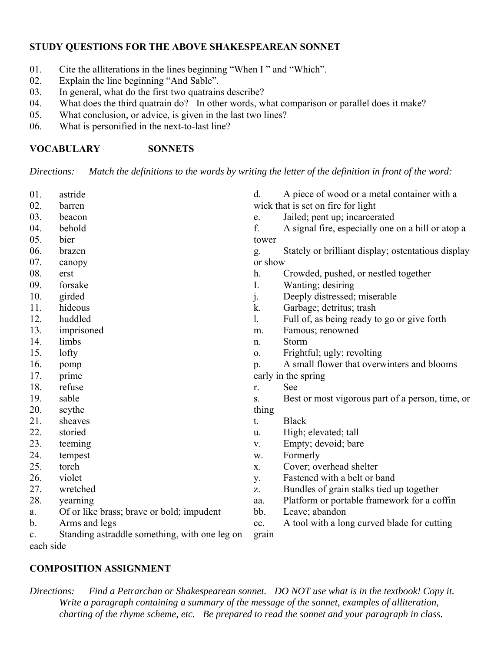# **STUDY QUESTIONS FOR THE ABOVE SHAKESPEAREAN SONNET**

- 01. Cite the alliterations in the lines beginning "When I" and "Which".<br>02. Explain the line beginning "And Sable".
- Explain the line beginning "And Sable".
- 03. In general, what do the first two quatrains describe?
- 04. What does the third quatrain do? In other words, what comparison or parallel does it make?
- 05. What conclusion, or advice, is given in the last two lines?
- 06. What is personified in the next-to-last line?

# **VOCABULARY SONNETS**

*Directions: Match the definitions to the words by writing the letter of the definition in front of the word:*

| 01.       | astride                                       | d.          | A piece of wood or a metal container with a        |
|-----------|-----------------------------------------------|-------------|----------------------------------------------------|
| 02.       | barren                                        |             | wick that is set on fire for light                 |
| 03.       | beacon                                        | e.          | Jailed; pent up; incarcerated                      |
| 04.       | behold                                        | f.          | A signal fire, especially one on a hill or atop a  |
| 05.       | bier                                          | tower       |                                                    |
| 06.       | brazen                                        | g.          | Stately or brilliant display; ostentatious display |
| 07.       | canopy                                        | or show     |                                                    |
| 08.       | erst                                          | h.          | Crowded, pushed, or nestled together               |
| 09.       | forsake                                       | I.          | Wanting; desiring                                  |
| 10.       | girded                                        | $\dot{J}$ . | Deeply distressed; miserable                       |
| 11.       | hideous                                       | k.          | Garbage; detritus; trash                           |
| 12.       | huddled                                       | 1.          | Full of, as being ready to go or give forth        |
| 13.       | imprisoned                                    | m.          | Famous; renowned                                   |
| 14.       | limbs                                         | n.          | Storm                                              |
| 15.       | lofty                                         | 0.          | Frightful; ugly; revolting                         |
| 16.       | pomp                                          | p.          | A small flower that overwinters and blooms         |
| 17.       | prime                                         |             | early in the spring                                |
| 18.       | refuse                                        | r.          | See                                                |
| 19.       | sable                                         | S.          | Best or most vigorous part of a person, time, or   |
| 20.       | scythe                                        | thing       |                                                    |
| 21.       | sheaves                                       | t.          | <b>Black</b>                                       |
| 22.       | storied                                       | u.          | High; elevated; tall                               |
| 23.       | teeming                                       | V.          | Empty; devoid; bare                                |
| 24.       | tempest                                       | w.          | Formerly                                           |
| 25.       | torch                                         | X.          | Cover; overhead shelter                            |
| 26.       | violet                                        | y.          | Fastened with a belt or band                       |
| 27.       | wretched                                      | Z.          | Bundles of grain stalks tied up together           |
| 28.       | yearning                                      | aa.         | Platform or portable framework for a coffin        |
| a.        | Of or like brass; brave or bold; impudent     | bb.         | Leave; abandon                                     |
| b.        | Arms and legs                                 | cc.         | A tool with a long curved blade for cutting        |
| c.        | Standing astraddle something, with one leg on | grain       |                                                    |
| each side |                                               |             |                                                    |

# **COMPOSITION ASSIGNMENT**

*Directions: Find a Petrarchan or Shakespearean sonnet. DO NOT use what is in the textbook! Copy it. Write a paragraph containing a summary of the message of the sonnet, examples of alliteration, charting of the rhyme scheme, etc. Be prepared to read the sonnet and your paragraph in class.*